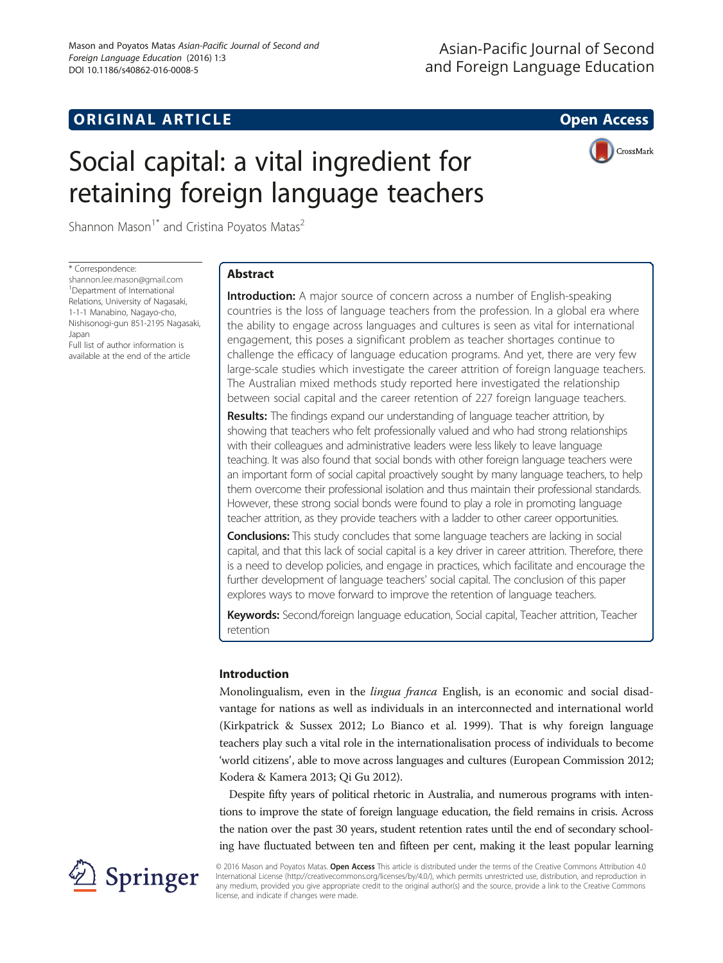# **ORIGINAL ARTICLE CONSUMING A LIGACION CONSUMING A LIGACION**

# Social capital: a vital ingredient for retaining foreign language teachers



Shannon Mason<sup>1\*</sup> and Cristina Poyatos Matas<sup>2</sup>

\* Correspondence:

[shannon.lee.mason@gmail.com](mailto:shannon.lee.mason@gmail.com) 1 Department of International Relations, University of Nagasaki, 1-1-1 Manabino, Nagayo-cho, Nishisonogi-gun 851-2195 Nagasaki, Japan

Full list of author information is available at the end of the article

## Abstract

**Introduction:** A major source of concern across a number of English-speaking countries is the loss of language teachers from the profession. In a global era where the ability to engage across languages and cultures is seen as vital for international engagement, this poses a significant problem as teacher shortages continue to challenge the efficacy of language education programs. And yet, there are very few large-scale studies which investigate the career attrition of foreign language teachers. The Australian mixed methods study reported here investigated the relationship between social capital and the career retention of 227 foreign language teachers.

Results: The findings expand our understanding of language teacher attrition, by showing that teachers who felt professionally valued and who had strong relationships with their colleagues and administrative leaders were less likely to leave language teaching. It was also found that social bonds with other foreign language teachers were an important form of social capital proactively sought by many language teachers, to help them overcome their professional isolation and thus maintain their professional standards. However, these strong social bonds were found to play a role in promoting language teacher attrition, as they provide teachers with a ladder to other career opportunities.

**Conclusions:** This study concludes that some language teachers are lacking in social capital, and that this lack of social capital is a key driver in career attrition. Therefore, there is a need to develop policies, and engage in practices, which facilitate and encourage the further development of language teachers' social capital. The conclusion of this paper explores ways to move forward to improve the retention of language teachers.

Keywords: Second/foreign language education, Social capital, Teacher attrition, Teacher retention

## Introduction

Monolingualism, even in the *lingua franca* English, is an economic and social disadvantage for nations as well as individuals in an interconnected and international world (Kirkpatrick & Sussex [2012;](#page-17-0) Lo Bianco et al. [1999](#page-18-0)). That is why foreign language teachers play such a vital role in the internationalisation process of individuals to become 'world citizens', able to move across languages and cultures (European Commission [2012](#page-17-0); Kodera & Kamera [2013;](#page-17-0) Qi Gu [2012\)](#page-18-0).

Despite fifty years of political rhetoric in Australia, and numerous programs with intentions to improve the state of foreign language education, the field remains in crisis. Across the nation over the past 30 years, student retention rates until the end of secondary schooling have fluctuated between ten and fifteen per cent, making it the least popular learning



© 2016 Mason and Poyatos Matas. **Open Access** This article is distributed under the terms of the Creative Commons Attribution 4.0 International License ([http://creativecommons.org/licenses/by/4.0/\)](http://creativecommons.org/licenses/by/4.0/), which permits unrestricted use, distribution, and reproduction in any medium, provided you give appropriate credit to the original author(s) and the source, provide a link to the Creative Commons license, and indicate if changes were made.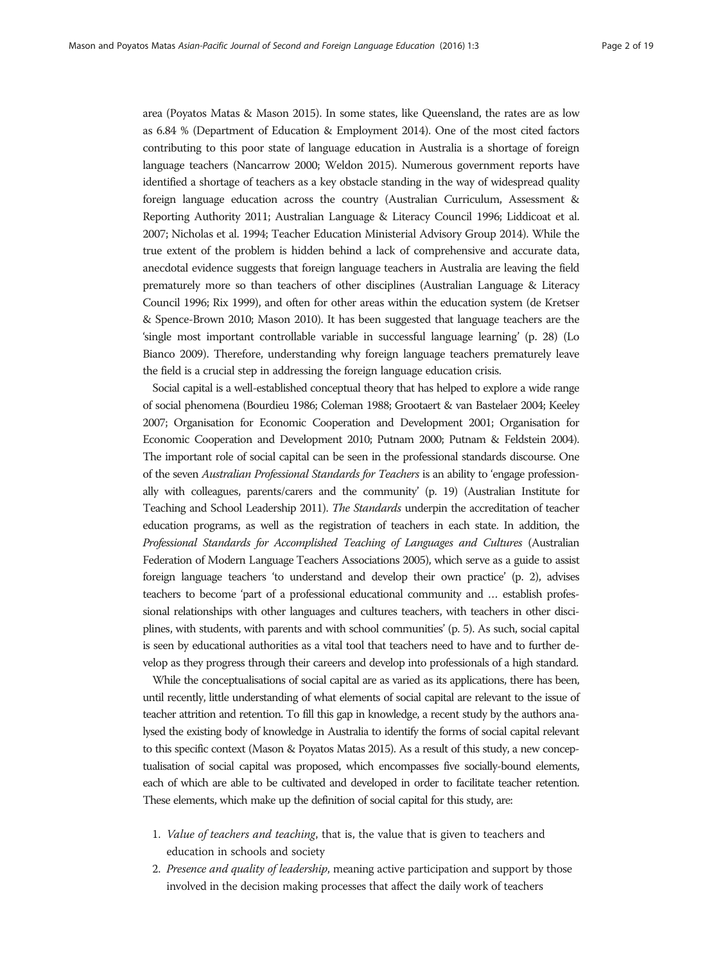area (Poyatos Matas & Mason [2015](#page-18-0)). In some states, like Queensland, the rates are as low as 6.84 % (Department of Education & Employment [2014](#page-17-0)). One of the most cited factors contributing to this poor state of language education in Australia is a shortage of foreign language teachers (Nancarrow [2000;](#page-18-0) Weldon [2015](#page-18-0)). Numerous government reports have identified a shortage of teachers as a key obstacle standing in the way of widespread quality foreign language education across the country (Australian Curriculum, Assessment & Reporting Authority [2011;](#page-16-0) Australian Language & Literacy Council [1996;](#page-17-0) Liddicoat et al. [2007;](#page-17-0) Nicholas et al. [1994;](#page-18-0) Teacher Education Ministerial Advisory Group [2014\)](#page-18-0). While the true extent of the problem is hidden behind a lack of comprehensive and accurate data, anecdotal evidence suggests that foreign language teachers in Australia are leaving the field prematurely more so than teachers of other disciplines (Australian Language & Literacy Council [1996](#page-17-0); Rix [1999](#page-18-0)), and often for other areas within the education system (de Kretser & Spence-Brown [2010;](#page-17-0) Mason [2010\)](#page-18-0). It has been suggested that language teachers are the 'single most important controllable variable in successful language learning' (p. 28) (Lo Bianco [2009](#page-18-0)). Therefore, understanding why foreign language teachers prematurely leave the field is a crucial step in addressing the foreign language education crisis.

Social capital is a well-established conceptual theory that has helped to explore a wide range of social phenomena (Bourdieu [1986;](#page-17-0) Coleman [1988;](#page-17-0) Grootaert & van Bastelaer [2004;](#page-17-0) Keeley [2007](#page-17-0); Organisation for Economic Cooperation and Development [2001;](#page-18-0) Organisation for Economic Cooperation and Development [2010;](#page-18-0) Putnam [2000;](#page-18-0) Putnam & Feldstein [2004\)](#page-18-0). The important role of social capital can be seen in the professional standards discourse. One of the seven Australian Professional Standards for Teachers is an ability to 'engage professionally with colleagues, parents/carers and the community' (p. 19) (Australian Institute for Teaching and School Leadership [2011\)](#page-17-0). The Standards underpin the accreditation of teacher education programs, as well as the registration of teachers in each state. In addition, the Professional Standards for Accomplished Teaching of Languages and Cultures (Australian Federation of Modern Language Teachers Associations [2005](#page-17-0)), which serve as a guide to assist foreign language teachers 'to understand and develop their own practice' (p. 2), advises teachers to become 'part of a professional educational community and … establish professional relationships with other languages and cultures teachers, with teachers in other disciplines, with students, with parents and with school communities' (p. 5). As such, social capital is seen by educational authorities as a vital tool that teachers need to have and to further develop as they progress through their careers and develop into professionals of a high standard.

While the conceptualisations of social capital are as varied as its applications, there has been, until recently, little understanding of what elements of social capital are relevant to the issue of teacher attrition and retention. To fill this gap in knowledge, a recent study by the authors analysed the existing body of knowledge in Australia to identify the forms of social capital relevant to this specific context (Mason & Poyatos Matas [2015\)](#page-18-0). As a result of this study, a new conceptualisation of social capital was proposed, which encompasses five socially-bound elements, each of which are able to be cultivated and developed in order to facilitate teacher retention. These elements, which make up the definition of social capital for this study, are:

- 1. Value of teachers and teaching, that is, the value that is given to teachers and education in schools and society
- 2. Presence and quality of leadership, meaning active participation and support by those involved in the decision making processes that affect the daily work of teachers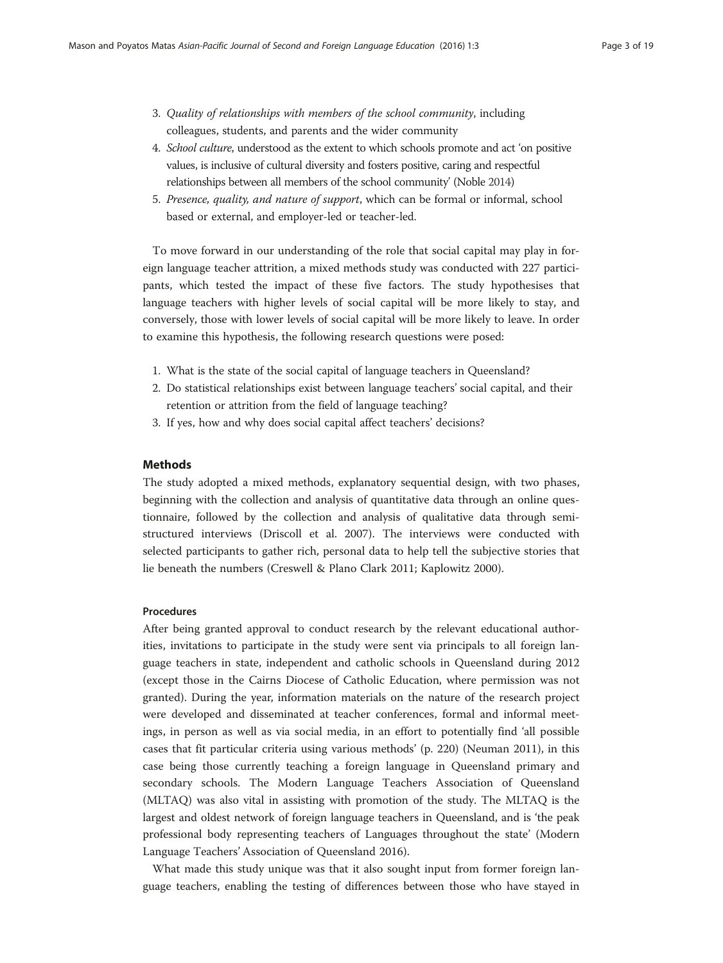- 3. Quality of relationships with members of the school community, including colleagues, students, and parents and the wider community
- 4. School culture, understood as the extent to which schools promote and act 'on positive values, is inclusive of cultural diversity and fosters positive, caring and respectful relationships between all members of the school community' (Noble [2014](#page-18-0))
- 5. Presence, quality, and nature of support, which can be formal or informal, school based or external, and employer-led or teacher-led.

To move forward in our understanding of the role that social capital may play in foreign language teacher attrition, a mixed methods study was conducted with 227 participants, which tested the impact of these five factors. The study hypothesises that language teachers with higher levels of social capital will be more likely to stay, and conversely, those with lower levels of social capital will be more likely to leave. In order to examine this hypothesis, the following research questions were posed:

- 1. What is the state of the social capital of language teachers in Queensland?
- 2. Do statistical relationships exist between language teachers' social capital, and their retention or attrition from the field of language teaching?
- 3. If yes, how and why does social capital affect teachers' decisions?

### Methods

The study adopted a mixed methods, explanatory sequential design, with two phases, beginning with the collection and analysis of quantitative data through an online questionnaire, followed by the collection and analysis of qualitative data through semistructured interviews (Driscoll et al. [2007\)](#page-17-0). The interviews were conducted with selected participants to gather rich, personal data to help tell the subjective stories that lie beneath the numbers (Creswell & Plano Clark [2011;](#page-17-0) Kaplowitz [2000](#page-17-0)).

### Procedures

After being granted approval to conduct research by the relevant educational authorities, invitations to participate in the study were sent via principals to all foreign language teachers in state, independent and catholic schools in Queensland during 2012 (except those in the Cairns Diocese of Catholic Education, where permission was not granted). During the year, information materials on the nature of the research project were developed and disseminated at teacher conferences, formal and informal meetings, in person as well as via social media, in an effort to potentially find 'all possible cases that fit particular criteria using various methods' (p. 220) (Neuman [2011\)](#page-18-0), in this case being those currently teaching a foreign language in Queensland primary and secondary schools. The Modern Language Teachers Association of Queensland (MLTAQ) was also vital in assisting with promotion of the study. The MLTAQ is the largest and oldest network of foreign language teachers in Queensland, and is 'the peak professional body representing teachers of Languages throughout the state' (Modern Language Teachers' Association of Queensland [2016](#page-18-0)).

What made this study unique was that it also sought input from former foreign language teachers, enabling the testing of differences between those who have stayed in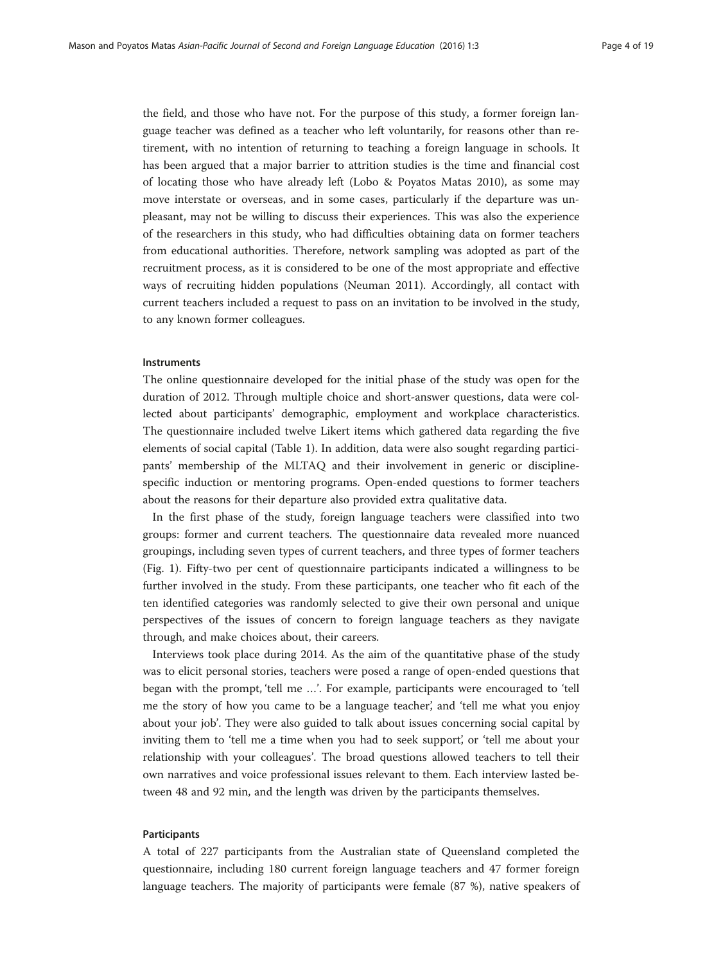the field, and those who have not. For the purpose of this study, a former foreign language teacher was defined as a teacher who left voluntarily, for reasons other than retirement, with no intention of returning to teaching a foreign language in schools. It has been argued that a major barrier to attrition studies is the time and financial cost of locating those who have already left (Lobo & Poyatos Matas [2010\)](#page-18-0), as some may move interstate or overseas, and in some cases, particularly if the departure was unpleasant, may not be willing to discuss their experiences. This was also the experience of the researchers in this study, who had difficulties obtaining data on former teachers from educational authorities. Therefore, network sampling was adopted as part of the recruitment process, as it is considered to be one of the most appropriate and effective ways of recruiting hidden populations (Neuman [2011\)](#page-18-0). Accordingly, all contact with current teachers included a request to pass on an invitation to be involved in the study, to any known former colleagues.

### Instruments

The online questionnaire developed for the initial phase of the study was open for the duration of 2012. Through multiple choice and short-answer questions, data were collected about participants' demographic, employment and workplace characteristics. The questionnaire included twelve Likert items which gathered data regarding the five elements of social capital (Table [1](#page-4-0)). In addition, data were also sought regarding participants' membership of the MLTAQ and their involvement in generic or disciplinespecific induction or mentoring programs. Open-ended questions to former teachers about the reasons for their departure also provided extra qualitative data.

In the first phase of the study, foreign language teachers were classified into two groups: former and current teachers. The questionnaire data revealed more nuanced groupings, including seven types of current teachers, and three types of former teachers (Fig. [1](#page-5-0)). Fifty-two per cent of questionnaire participants indicated a willingness to be further involved in the study. From these participants, one teacher who fit each of the ten identified categories was randomly selected to give their own personal and unique perspectives of the issues of concern to foreign language teachers as they navigate through, and make choices about, their careers.

Interviews took place during 2014. As the aim of the quantitative phase of the study was to elicit personal stories, teachers were posed a range of open-ended questions that began with the prompt, 'tell me …'. For example, participants were encouraged to 'tell me the story of how you came to be a language teacher', and 'tell me what you enjoy about your job'. They were also guided to talk about issues concerning social capital by inviting them to 'tell me a time when you had to seek support', or 'tell me about your relationship with your colleagues'. The broad questions allowed teachers to tell their own narratives and voice professional issues relevant to them. Each interview lasted between 48 and 92 min, and the length was driven by the participants themselves.

### Participants

A total of 227 participants from the Australian state of Queensland completed the questionnaire, including 180 current foreign language teachers and 47 former foreign language teachers. The majority of participants were female (87 %), native speakers of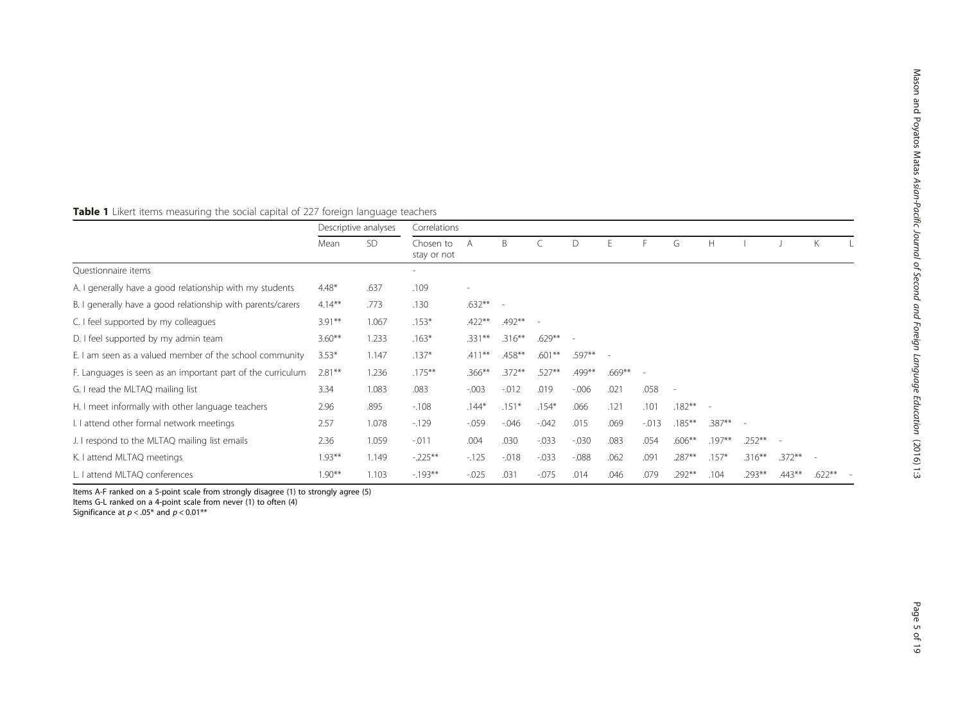|                                                             | Descriptive analyses |           | Correlations             |                          |                          |           |                          |          |          |                          |                          |                          |                          |          |  |
|-------------------------------------------------------------|----------------------|-----------|--------------------------|--------------------------|--------------------------|-----------|--------------------------|----------|----------|--------------------------|--------------------------|--------------------------|--------------------------|----------|--|
|                                                             | Mean                 | <b>SD</b> | Chosen to<br>stay or not | A                        | B                        |           | D                        |          |          | G                        | H                        |                          |                          | K        |  |
| Questionnaire items                                         |                      |           |                          |                          |                          |           |                          |          |          |                          |                          |                          |                          |          |  |
| A. I generally have a good relationship with my students    | $4.48*$              | .637      | .109                     | $\overline{\phantom{a}}$ |                          |           |                          |          |          |                          |                          |                          |                          |          |  |
| B. I generally have a good relationship with parents/carers | $4.14***$            | .773      | .130                     | $.632***$                | $\overline{\phantom{a}}$ |           |                          |          |          |                          |                          |                          |                          |          |  |
| C. I feel supported by my colleagues                        | $3.91***$            | 1.067     | $.153*$                  | $.422***$                | .492**                   |           |                          |          |          |                          |                          |                          |                          |          |  |
| D. I feel supported by my admin team                        | $3.60**$             | 1.233     | $.163*$                  | $.331***$                | $.316***$                | $.629**$  | $\overline{\phantom{a}}$ |          |          |                          |                          |                          |                          |          |  |
| E. I am seen as a valued member of the school community     | $3.53*$              | 1.147     | $.137*$                  | $.411***$                | .458**                   | $.601***$ | .597**                   | $\sim$   |          |                          |                          |                          |                          |          |  |
| F. Languages is seen as an important part of the curriculum | $2.81***$            | 1.236     | $.175***$                | $.366***$                | $.372***$                | $.527**$  | .499**                   | $.669**$ |          |                          |                          |                          |                          |          |  |
| G. I read the MLTAQ mailing list                            | 3.34                 | 1.083     | .083                     | $-0.003$                 | $-0.012$                 | .019      | $-0.006$                 | .021     | .058     | $\overline{\phantom{a}}$ |                          |                          |                          |          |  |
| H. I meet informally with other language teachers           | 2.96                 | .895      | $-108$                   | $.144*$                  | $.151*$                  | $.154*$   | .066                     | .121     | .101     | $.182***$                | $\overline{\phantom{a}}$ |                          |                          |          |  |
| I. I attend other formal network meetings                   | 2.57                 | 1.078     | $-129$                   | $-0.059$                 | $-0.046$                 | $-0.042$  | .015                     | .069     | $-0.013$ | $.185***$                | $.387**$                 | $\overline{\phantom{a}}$ |                          |          |  |
| J. I respond to the MLTAQ mailing list emails               | 2.36                 | 1.059     | $-.011$                  | .004                     | .030                     | $-0.033$  | $-0.030$                 | .083     | .054     | $.606***$                | $.197***$                | $.252***$                | $\overline{\phantom{a}}$ |          |  |
| K. I attend MLTAQ meetings                                  | $1.93***$            | 1.149     | $-225**$                 | $-125$                   | $-0.018$                 | $-0.033$  | $-088$                   | .062     | .091     | .287**                   | $.157*$                  | $.316***$                | $.372***$                | ٠        |  |
| L. I attend MLTAQ conferences                               | $1.90**$             | 1.103     | $-193**$                 | $-0.025$                 | .031                     | $-0.075$  | .014                     | .046     | .079     | $.292**$                 | .104                     | .293**                   | $.443**$                 | $.622**$ |  |

### <span id="page-4-0"></span>**Table 1** Likert items measuring the social capital of 227 foreign language teachers

Items A-F ranked on a 5-point scale from strongly disagree (1) to strongly agree (5)

Items G-L ranked on a 4-point scale from never (1) to often (4)

Significance at  $p < .05^*$  and  $p < 0.01^{**}$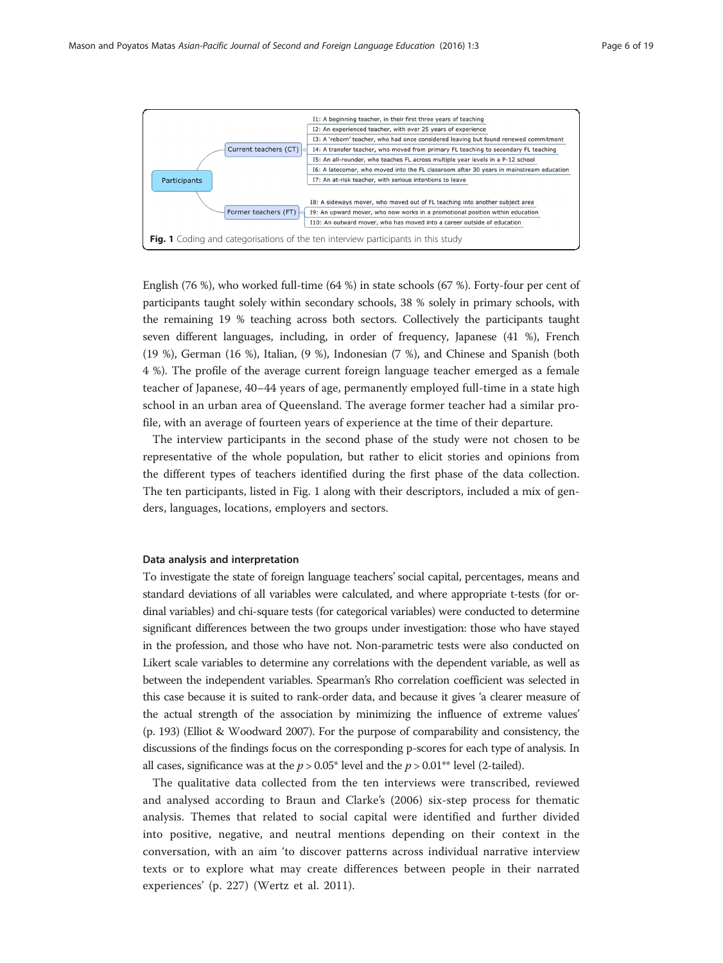<span id="page-5-0"></span>

English (76 %), who worked full-time (64 %) in state schools (67 %). Forty-four per cent of participants taught solely within secondary schools, 38 % solely in primary schools, with the remaining 19 % teaching across both sectors. Collectively the participants taught seven different languages, including, in order of frequency, Japanese (41 %), French (19 %), German (16 %), Italian, (9 %), Indonesian (7 %), and Chinese and Spanish (both 4 %). The profile of the average current foreign language teacher emerged as a female teacher of Japanese, 40–44 years of age, permanently employed full-time in a state high school in an urban area of Queensland. The average former teacher had a similar profile, with an average of fourteen years of experience at the time of their departure.

The interview participants in the second phase of the study were not chosen to be representative of the whole population, but rather to elicit stories and opinions from the different types of teachers identified during the first phase of the data collection. The ten participants, listed in Fig. 1 along with their descriptors, included a mix of genders, languages, locations, employers and sectors.

### Data analysis and interpretation

To investigate the state of foreign language teachers' social capital, percentages, means and standard deviations of all variables were calculated, and where appropriate t-tests (for ordinal variables) and chi-square tests (for categorical variables) were conducted to determine significant differences between the two groups under investigation: those who have stayed in the profession, and those who have not. Non-parametric tests were also conducted on Likert scale variables to determine any correlations with the dependent variable, as well as between the independent variables. Spearman's Rho correlation coefficient was selected in this case because it is suited to rank-order data, and because it gives 'a clearer measure of the actual strength of the association by minimizing the influence of extreme values' (p. 193) (Elliot & Woodward [2007](#page-17-0)). For the purpose of comparability and consistency, the discussions of the findings focus on the corresponding p-scores for each type of analysis. In all cases, significance was at the  $p > 0.05^*$  level and the  $p > 0.01^{**}$  level (2-tailed).

The qualitative data collected from the ten interviews were transcribed, reviewed and analysed according to Braun and Clarke's [\(2006](#page-17-0)) six-step process for thematic analysis. Themes that related to social capital were identified and further divided into positive, negative, and neutral mentions depending on their context in the conversation, with an aim 'to discover patterns across individual narrative interview texts or to explore what may create differences between people in their narrated experiences' (p. 227) (Wertz et al. [2011\)](#page-18-0).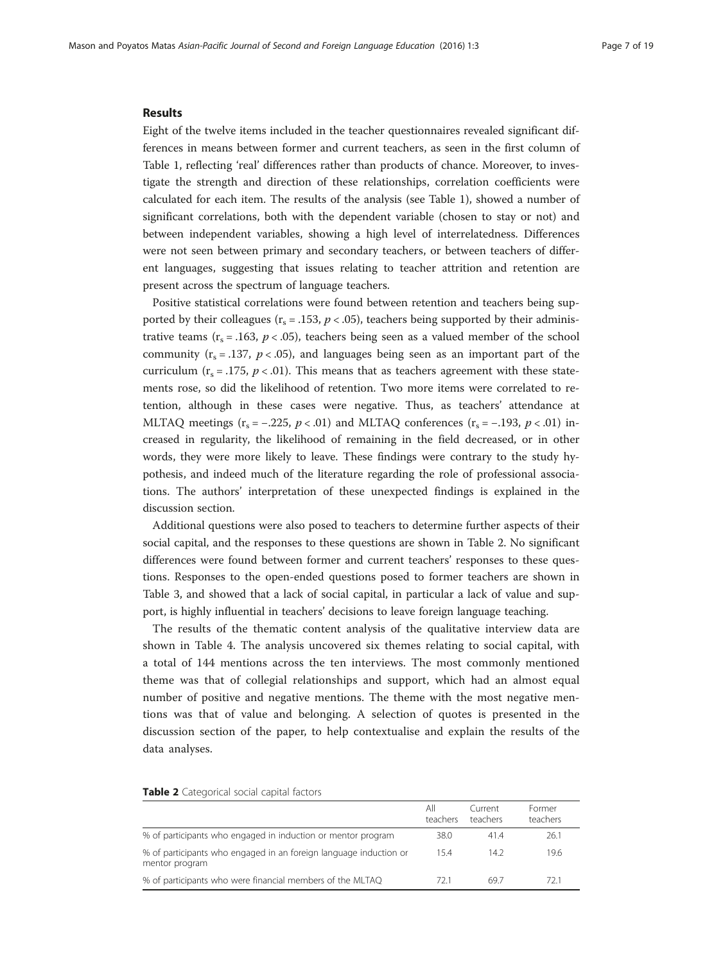### Results

Eight of the twelve items included in the teacher questionnaires revealed significant differences in means between former and current teachers, as seen in the first column of Table [1,](#page-4-0) reflecting 'real' differences rather than products of chance. Moreover, to investigate the strength and direction of these relationships, correlation coefficients were calculated for each item. The results of the analysis (see Table [1\)](#page-4-0), showed a number of significant correlations, both with the dependent variable (chosen to stay or not) and between independent variables, showing a high level of interrelatedness. Differences were not seen between primary and secondary teachers, or between teachers of different languages, suggesting that issues relating to teacher attrition and retention are present across the spectrum of language teachers.

Positive statistical correlations were found between retention and teachers being supported by their colleagues ( $r_s = .153$ ,  $p < .05$ ), teachers being supported by their administrative teams ( $r_s = .163$ ,  $p < .05$ ), teachers being seen as a valued member of the school community ( $r_s = .137$ ,  $p < .05$ ), and languages being seen as an important part of the curriculum ( $r_s = .175$ ,  $p < .01$ ). This means that as teachers agreement with these statements rose, so did the likelihood of retention. Two more items were correlated to retention, although in these cases were negative. Thus, as teachers' attendance at MLTAQ meetings ( $r_s = -.225$ ,  $p < .01$ ) and MLTAQ conferences ( $r_s = -.193$ ,  $p < .01$ ) increased in regularity, the likelihood of remaining in the field decreased, or in other words, they were more likely to leave. These findings were contrary to the study hypothesis, and indeed much of the literature regarding the role of professional associations. The authors' interpretation of these unexpected findings is explained in the discussion section.

Additional questions were also posed to teachers to determine further aspects of their social capital, and the responses to these questions are shown in Table 2. No significant differences were found between former and current teachers' responses to these questions. Responses to the open-ended questions posed to former teachers are shown in Table [3](#page-7-0), and showed that a lack of social capital, in particular a lack of value and support, is highly influential in teachers' decisions to leave foreign language teaching.

The results of the thematic content analysis of the qualitative interview data are shown in Table [4](#page-7-0). The analysis uncovered six themes relating to social capital, with a total of 144 mentions across the ten interviews. The most commonly mentioned theme was that of collegial relationships and support, which had an almost equal number of positive and negative mentions. The theme with the most negative mentions was that of value and belonging. A selection of quotes is presented in the discussion section of the paper, to help contextualise and explain the results of the data analyses.

|                                                                                     | All<br>teachers | Current<br>teachers | Former<br>teachers |
|-------------------------------------------------------------------------------------|-----------------|---------------------|--------------------|
| % of participants who engaged in induction or mentor program                        | 38.0            | 41.4                | 26.1               |
| % of participants who engaged in an foreign language induction or<br>mentor program | 15.4            | 14.2                | 19.6               |
| % of participants who were financial members of the MLTAQ                           | 72 1            | 697                 | 72 1               |

#### Table 2 Categorical social capital factors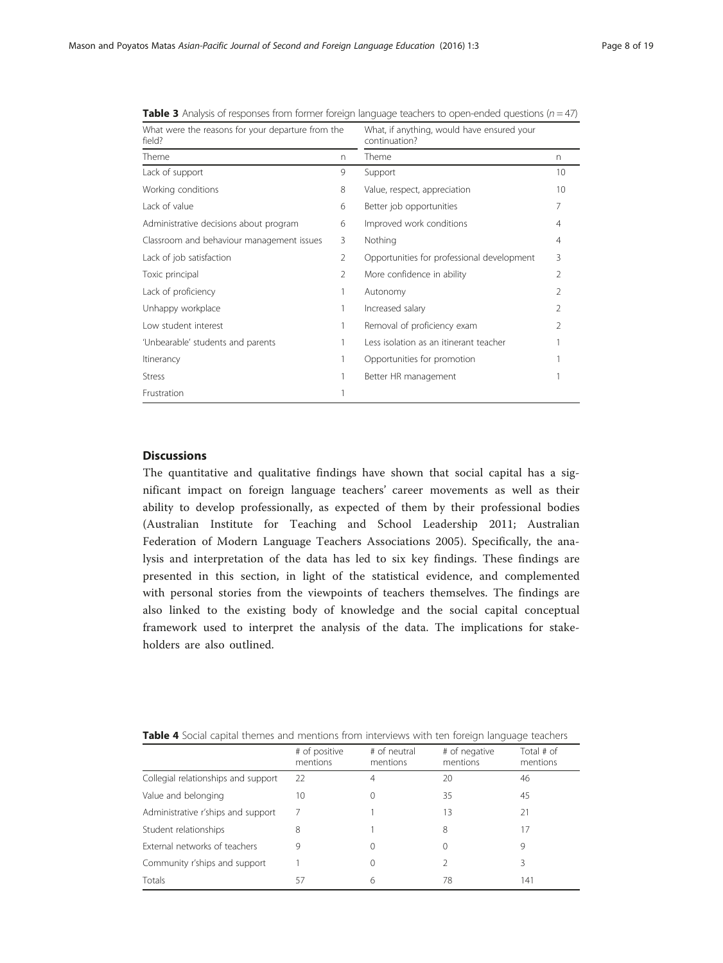| What were the reasons for your departure from the<br>field? |              | What, if anything, would have ensured your<br>continuation? |                 |  |  |
|-------------------------------------------------------------|--------------|-------------------------------------------------------------|-----------------|--|--|
| Theme                                                       | $\mathsf{n}$ | Theme                                                       | n.              |  |  |
| Lack of support                                             | 9            | Support                                                     | 10 <sup>°</sup> |  |  |
| Working conditions                                          | 8            | Value, respect, appreciation                                | 10              |  |  |
| Lack of value                                               | 6            | Better job opportunities                                    | 7               |  |  |
| Administrative decisions about program                      | 6            | Improved work conditions                                    | 4               |  |  |
| Classroom and behaviour management issues                   | 3            | Nothing                                                     | 4               |  |  |
| Lack of job satisfaction                                    | 2            | Opportunities for professional development                  | 3               |  |  |
| Toxic principal                                             | 2            | More confidence in ability                                  | 2               |  |  |
| Lack of proficiency                                         | 1            | Autonomy                                                    | $\mathcal{P}$   |  |  |
| Unhappy workplace                                           |              | Increased salary                                            | 2               |  |  |
| Low student interest                                        |              | Removal of proficiency exam                                 | 2               |  |  |
| 'Unbearable' students and parents                           |              | Less isolation as an itinerant teacher                      |                 |  |  |
| Itinerancy                                                  |              | Opportunities for promotion                                 |                 |  |  |
| <b>Stress</b>                                               |              | Better HR management                                        |                 |  |  |
| Frustration                                                 |              |                                                             |                 |  |  |

<span id="page-7-0"></span>**Table 3** Analysis of responses from former foreign language teachers to open-ended questions ( $n = 47$ )

### **Discussions**

The quantitative and qualitative findings have shown that social capital has a significant impact on foreign language teachers' career movements as well as their ability to develop professionally, as expected of them by their professional bodies (Australian Institute for Teaching and School Leadership [2011](#page-17-0); Australian Federation of Modern Language Teachers Associations [2005](#page-17-0)). Specifically, the analysis and interpretation of the data has led to six key findings. These findings are presented in this section, in light of the statistical evidence, and complemented with personal stories from the viewpoints of teachers themselves. The findings are also linked to the existing body of knowledge and the social capital conceptual framework used to interpret the analysis of the data. The implications for stakeholders are also outlined.

|                                     | # of positive<br>mentions | # of neutral<br>mentions | # of negative<br>mentions | Total # of<br>mentions |  |  |
|-------------------------------------|---------------------------|--------------------------|---------------------------|------------------------|--|--|
| Collegial relationships and support | 22                        | 4                        | 20                        | 46                     |  |  |
| Value and belonging                 | 10                        |                          | 35                        | 45                     |  |  |
| Administrative r'ships and support  |                           |                          | 13                        | 21                     |  |  |
| Student relationships               | 8                         |                          | 8                         | 17                     |  |  |
| External networks of teachers       | 9                         | 0                        | 0                         | 9                      |  |  |
| Community r'ships and support       |                           | Ω                        |                           | ζ                      |  |  |
| Totals                              | 57                        | 6                        | 78                        | 141                    |  |  |

Table 4 Social capital themes and mentions from interviews with ten foreign language teachers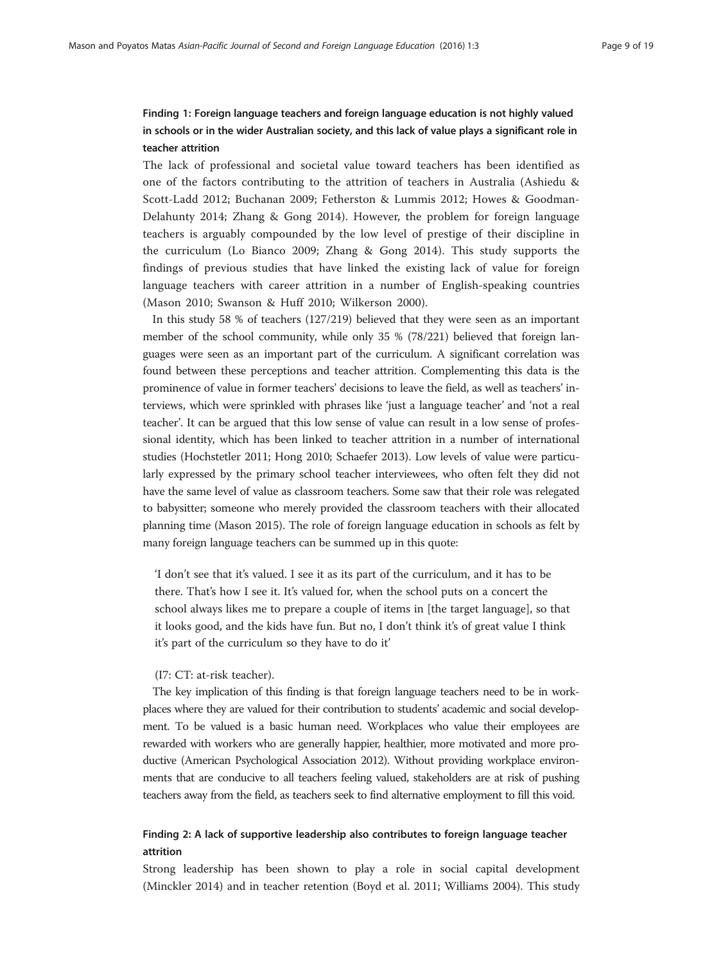# Finding 1: Foreign language teachers and foreign language education is not highly valued in schools or in the wider Australian society, and this lack of value plays a significant role in teacher attrition

The lack of professional and societal value toward teachers has been identified as one of the factors contributing to the attrition of teachers in Australia (Ashiedu & Scott-Ladd [2012](#page-16-0); Buchanan [2009](#page-17-0); Fetherston & Lummis [2012](#page-17-0); Howes & Goodman-Delahunty [2014;](#page-17-0) Zhang & Gong [2014](#page-18-0)). However, the problem for foreign language teachers is arguably compounded by the low level of prestige of their discipline in the curriculum (Lo Bianco [2009;](#page-18-0) Zhang & Gong [2014\)](#page-18-0). This study supports the findings of previous studies that have linked the existing lack of value for foreign language teachers with career attrition in a number of English-speaking countries (Mason [2010](#page-18-0); Swanson & Huff [2010;](#page-18-0) Wilkerson [2000](#page-18-0)).

In this study 58 % of teachers (127/219) believed that they were seen as an important member of the school community, while only 35 % (78/221) believed that foreign languages were seen as an important part of the curriculum. A significant correlation was found between these perceptions and teacher attrition. Complementing this data is the prominence of value in former teachers' decisions to leave the field, as well as teachers' interviews, which were sprinkled with phrases like 'just a language teacher' and 'not a real teacher'. It can be argued that this low sense of value can result in a low sense of professional identity, which has been linked to teacher attrition in a number of international studies (Hochstetler [2011;](#page-17-0) Hong [2010;](#page-17-0) Schaefer [2013\)](#page-18-0). Low levels of value were particularly expressed by the primary school teacher interviewees, who often felt they did not have the same level of value as classroom teachers. Some saw that their role was relegated to babysitter; someone who merely provided the classroom teachers with their allocated planning time (Mason [2015\)](#page-18-0). The role of foreign language education in schools as felt by many foreign language teachers can be summed up in this quote:

'I don't see that it's valued. I see it as its part of the curriculum, and it has to be there. That's how I see it. It's valued for, when the school puts on a concert the school always likes me to prepare a couple of items in [the target language], so that it looks good, and the kids have fun. But no, I don't think it's of great value I think it's part of the curriculum so they have to do it'

### (I7: CT: at-risk teacher).

The key implication of this finding is that foreign language teachers need to be in workplaces where they are valued for their contribution to students' academic and social development. To be valued is a basic human need. Workplaces who value their employees are rewarded with workers who are generally happier, healthier, more motivated and more productive (American Psychological Association [2012](#page-16-0)). Without providing workplace environments that are conducive to all teachers feeling valued, stakeholders are at risk of pushing teachers away from the field, as teachers seek to find alternative employment to fill this void.

## Finding 2: A lack of supportive leadership also contributes to foreign language teacher attrition

Strong leadership has been shown to play a role in social capital development (Minckler [2014\)](#page-18-0) and in teacher retention (Boyd et al. [2011;](#page-17-0) Williams [2004\)](#page-18-0). This study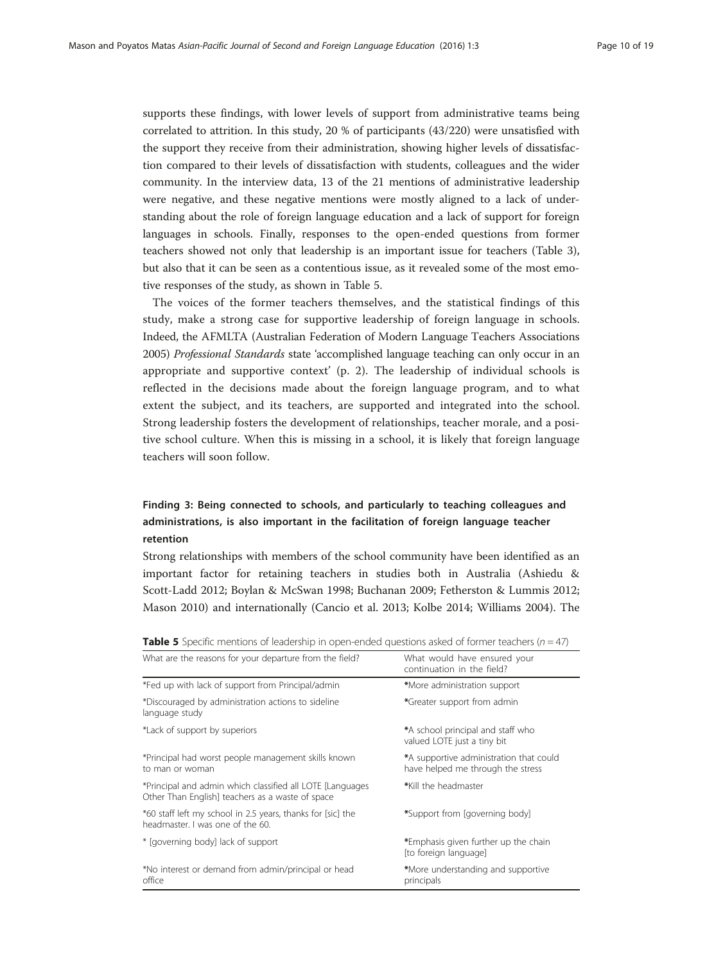supports these findings, with lower levels of support from administrative teams being correlated to attrition. In this study, 20 % of participants (43/220) were unsatisfied with the support they receive from their administration, showing higher levels of dissatisfaction compared to their levels of dissatisfaction with students, colleagues and the wider community. In the interview data, 13 of the 21 mentions of administrative leadership were negative, and these negative mentions were mostly aligned to a lack of understanding about the role of foreign language education and a lack of support for foreign languages in schools. Finally, responses to the open-ended questions from former teachers showed not only that leadership is an important issue for teachers (Table [3](#page-7-0)), but also that it can be seen as a contentious issue, as it revealed some of the most emotive responses of the study, as shown in Table 5.

The voices of the former teachers themselves, and the statistical findings of this study, make a strong case for supportive leadership of foreign language in schools. Indeed, the AFMLTA (Australian Federation of Modern Language Teachers Associations [2005\)](#page-17-0) Professional Standards state 'accomplished language teaching can only occur in an appropriate and supportive context' (p. 2). The leadership of individual schools is reflected in the decisions made about the foreign language program, and to what extent the subject, and its teachers, are supported and integrated into the school. Strong leadership fosters the development of relationships, teacher morale, and a positive school culture. When this is missing in a school, it is likely that foreign language teachers will soon follow.

# Finding 3: Being connected to schools, and particularly to teaching colleagues and administrations, is also important in the facilitation of foreign language teacher retention

Strong relationships with members of the school community have been identified as an important factor for retaining teachers in studies both in Australia (Ashiedu & Scott-Ladd [2012](#page-16-0); Boylan & McSwan [1998](#page-17-0); Buchanan [2009](#page-17-0); Fetherston & Lummis [2012](#page-17-0); Mason [2010\)](#page-18-0) and internationally (Cancio et al. [2013;](#page-17-0) Kolbe [2014](#page-17-0); Williams [2004\)](#page-18-0). The

| viride are the reasons for your departure from the neigh-                                                      | <b>VITAL WOULD HAVE EITSURED YOUR</b><br>continuation in the field?          |
|----------------------------------------------------------------------------------------------------------------|------------------------------------------------------------------------------|
| *Fed up with lack of support from Principal/admin                                                              | *More administration support                                                 |
| *Discouraged by administration actions to sideline<br>language study                                           | *Greater support from admin                                                  |
| *Lack of support by superiors                                                                                  | *A school principal and staff who<br>valued LOTE just a tiny bit             |
| *Principal had worst people management skills known<br>to man or woman                                         | *A supportive administration that could<br>have helped me through the stress |
| *Principal and admin which classified all LOTE [Languages]<br>Other Than English] teachers as a waste of space | *Kill the headmaster                                                         |
| *60 staff left my school in 2.5 years, thanks for [sic] the<br>headmaster. I was one of the 60.                | *Support from [governing body]                                               |
| * [governing body] lack of support                                                                             | *Emphasis given further up the chain<br>[to foreign language]                |
| *No interest or demand from admin/principal or head<br>office                                                  | *More understanding and supportive<br>principals                             |

| <b>Table 5</b> Specific mentions of leadership in open-ended questions asked of former teachers ( $n = 47$ )        |                                                                                                                 |
|---------------------------------------------------------------------------------------------------------------------|-----------------------------------------------------------------------------------------------------------------|
| A Alberta consideration of consideration of the continue of $\mathcal{L}_1$ and $\mathcal{L}_2$ and $\mathcal{L}_3$ | A A A London and a student of the state of the state of the state of the state of the state of the state of the |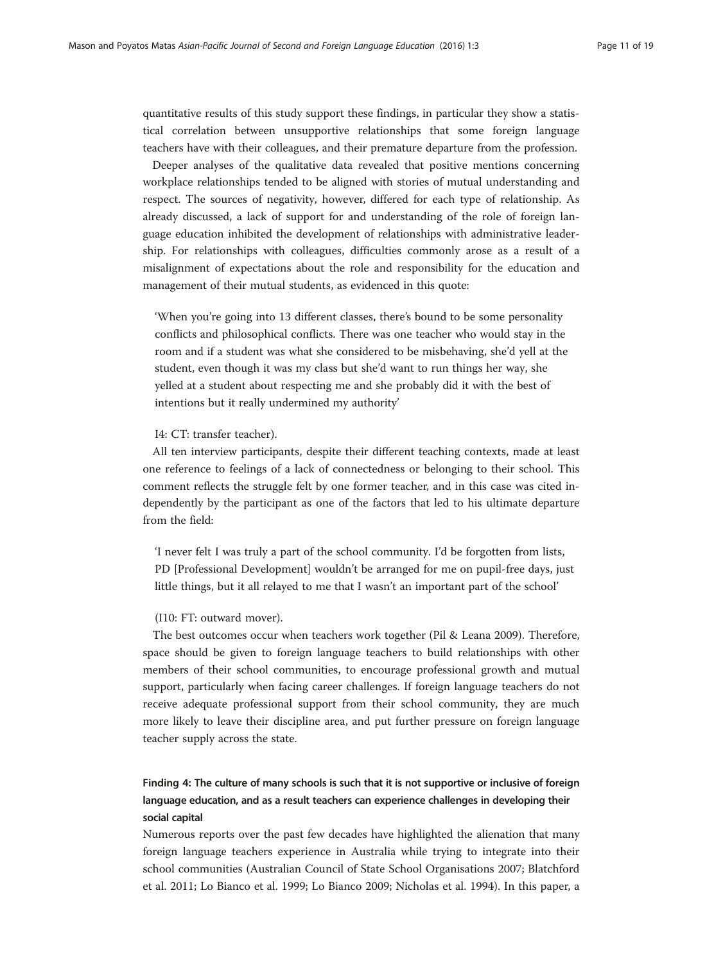quantitative results of this study support these findings, in particular they show a statistical correlation between unsupportive relationships that some foreign language teachers have with their colleagues, and their premature departure from the profession.

Deeper analyses of the qualitative data revealed that positive mentions concerning workplace relationships tended to be aligned with stories of mutual understanding and respect. The sources of negativity, however, differed for each type of relationship. As already discussed, a lack of support for and understanding of the role of foreign language education inhibited the development of relationships with administrative leadership. For relationships with colleagues, difficulties commonly arose as a result of a misalignment of expectations about the role and responsibility for the education and management of their mutual students, as evidenced in this quote:

'When you're going into 13 different classes, there's bound to be some personality conflicts and philosophical conflicts. There was one teacher who would stay in the room and if a student was what she considered to be misbehaving, she'd yell at the student, even though it was my class but she'd want to run things her way, she yelled at a student about respecting me and she probably did it with the best of intentions but it really undermined my authority'

### I4: CT: transfer teacher).

All ten interview participants, despite their different teaching contexts, made at least one reference to feelings of a lack of connectedness or belonging to their school. This comment reflects the struggle felt by one former teacher, and in this case was cited independently by the participant as one of the factors that led to his ultimate departure from the field:

'I never felt I was truly a part of the school community. I'd be forgotten from lists, PD [Professional Development] wouldn't be arranged for me on pupil-free days, just little things, but it all relayed to me that I wasn't an important part of the school'

### (I10: FT: outward mover).

The best outcomes occur when teachers work together (Pil & Leana [2009\)](#page-18-0). Therefore, space should be given to foreign language teachers to build relationships with other members of their school communities, to encourage professional growth and mutual support, particularly when facing career challenges. If foreign language teachers do not receive adequate professional support from their school community, they are much more likely to leave their discipline area, and put further pressure on foreign language teacher supply across the state.

# Finding 4: The culture of many schools is such that it is not supportive or inclusive of foreign language education, and as a result teachers can experience challenges in developing their social capital

Numerous reports over the past few decades have highlighted the alienation that many foreign language teachers experience in Australia while trying to integrate into their school communities (Australian Council of State School Organisations [2007;](#page-16-0) Blatchford et al. [2011;](#page-17-0) Lo Bianco et al. [1999;](#page-18-0) Lo Bianco [2009;](#page-18-0) Nicholas et al. [1994\)](#page-18-0). In this paper, a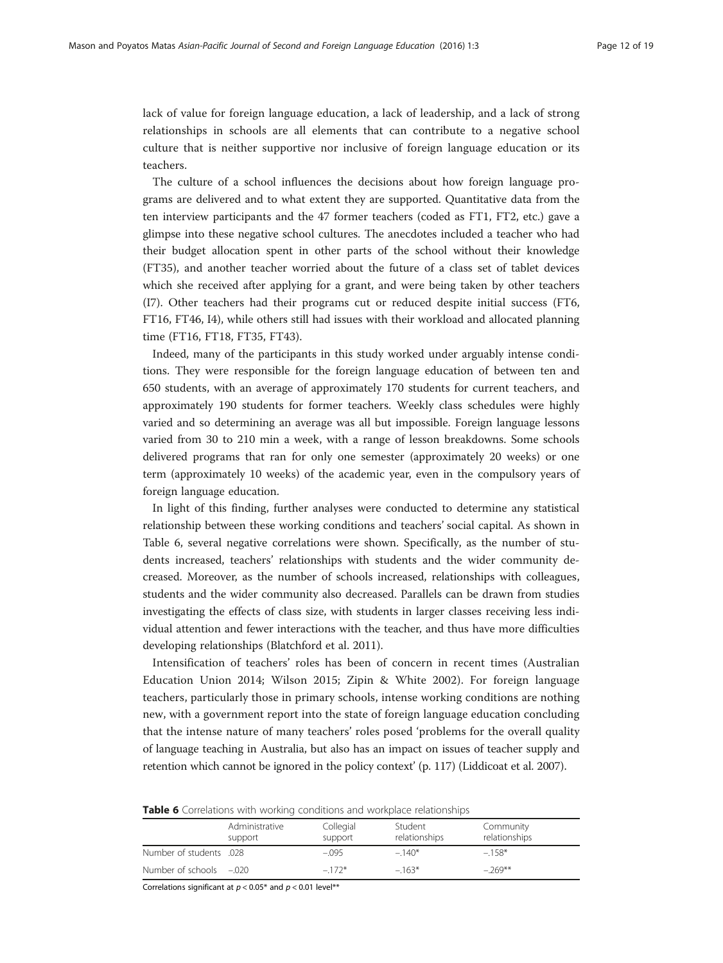lack of value for foreign language education, a lack of leadership, and a lack of strong relationships in schools are all elements that can contribute to a negative school culture that is neither supportive nor inclusive of foreign language education or its teachers.

The culture of a school influences the decisions about how foreign language programs are delivered and to what extent they are supported. Quantitative data from the ten interview participants and the 47 former teachers (coded as FT1, FT2, etc.) gave a glimpse into these negative school cultures. The anecdotes included a teacher who had their budget allocation spent in other parts of the school without their knowledge (FT35), and another teacher worried about the future of a class set of tablet devices which she received after applying for a grant, and were being taken by other teachers (I7). Other teachers had their programs cut or reduced despite initial success (FT6, FT16, FT46, I4), while others still had issues with their workload and allocated planning time (FT16, FT18, FT35, FT43).

Indeed, many of the participants in this study worked under arguably intense conditions. They were responsible for the foreign language education of between ten and 650 students, with an average of approximately 170 students for current teachers, and approximately 190 students for former teachers. Weekly class schedules were highly varied and so determining an average was all but impossible. Foreign language lessons varied from 30 to 210 min a week, with a range of lesson breakdowns. Some schools delivered programs that ran for only one semester (approximately 20 weeks) or one term (approximately 10 weeks) of the academic year, even in the compulsory years of foreign language education.

In light of this finding, further analyses were conducted to determine any statistical relationship between these working conditions and teachers' social capital. As shown in Table 6, several negative correlations were shown. Specifically, as the number of students increased, teachers' relationships with students and the wider community decreased. Moreover, as the number of schools increased, relationships with colleagues, students and the wider community also decreased. Parallels can be drawn from studies investigating the effects of class size, with students in larger classes receiving less individual attention and fewer interactions with the teacher, and thus have more difficulties developing relationships (Blatchford et al. [2011](#page-17-0)).

Intensification of teachers' roles has been of concern in recent times (Australian Education Union [2014;](#page-16-0) Wilson [2015](#page-18-0); Zipin & White [2002\)](#page-18-0). For foreign language teachers, particularly those in primary schools, intense working conditions are nothing new, with a government report into the state of foreign language education concluding that the intense nature of many teachers' roles posed 'problems for the overall quality of language teaching in Australia, but also has an impact on issues of teacher supply and retention which cannot be ignored in the policy context' (p. 117) (Liddicoat et al. [2007\)](#page-17-0).

| <b>Table 6</b> Correlations with working conditions and workplace relationships |  |  |
|---------------------------------------------------------------------------------|--|--|
|                                                                                 |  |  |

|                         | Administrative<br>support | Collegial<br>support | Student<br>relationships | Community<br>relationships |
|-------------------------|---------------------------|----------------------|--------------------------|----------------------------|
| Number of students .028 |                           | $-095$               | $-140*$                  | $-158*$                    |
| Number of schools -.020 |                           | $-172*$              | $-163*$                  | $-269**$                   |

Correlations significant at  $p < 0.05^*$  and  $p < 0.01$  level\*\*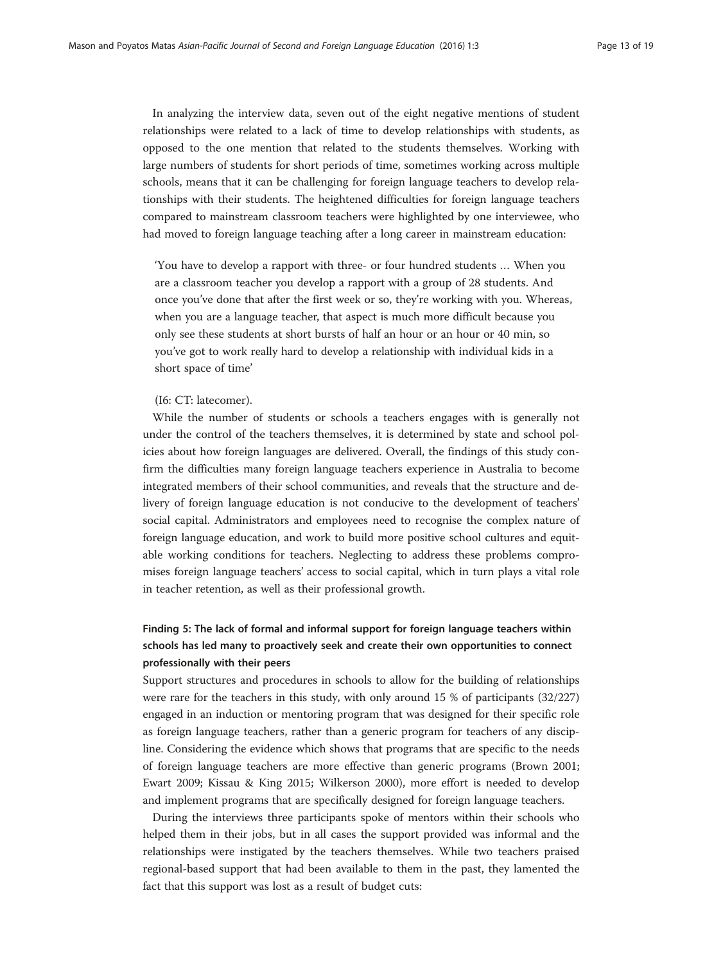In analyzing the interview data, seven out of the eight negative mentions of student relationships were related to a lack of time to develop relationships with students, as opposed to the one mention that related to the students themselves. Working with large numbers of students for short periods of time, sometimes working across multiple schools, means that it can be challenging for foreign language teachers to develop relationships with their students. The heightened difficulties for foreign language teachers compared to mainstream classroom teachers were highlighted by one interviewee, who had moved to foreign language teaching after a long career in mainstream education:

'You have to develop a rapport with three- or four hundred students … When you are a classroom teacher you develop a rapport with a group of 28 students. And once you've done that after the first week or so, they're working with you. Whereas, when you are a language teacher, that aspect is much more difficult because you only see these students at short bursts of half an hour or an hour or 40 min, so you've got to work really hard to develop a relationship with individual kids in a short space of time'

### (I6: CT: latecomer).

While the number of students or schools a teachers engages with is generally not under the control of the teachers themselves, it is determined by state and school policies about how foreign languages are delivered. Overall, the findings of this study confirm the difficulties many foreign language teachers experience in Australia to become integrated members of their school communities, and reveals that the structure and delivery of foreign language education is not conducive to the development of teachers' social capital. Administrators and employees need to recognise the complex nature of foreign language education, and work to build more positive school cultures and equitable working conditions for teachers. Neglecting to address these problems compromises foreign language teachers' access to social capital, which in turn plays a vital role in teacher retention, as well as their professional growth.

# Finding 5: The lack of formal and informal support for foreign language teachers within schools has led many to proactively seek and create their own opportunities to connect professionally with their peers

Support structures and procedures in schools to allow for the building of relationships were rare for the teachers in this study, with only around 15 % of participants (32/227) engaged in an induction or mentoring program that was designed for their specific role as foreign language teachers, rather than a generic program for teachers of any discipline. Considering the evidence which shows that programs that are specific to the needs of foreign language teachers are more effective than generic programs (Brown [2001](#page-17-0); Ewart [2009](#page-17-0); Kissau & King [2015](#page-17-0); Wilkerson [2000\)](#page-18-0), more effort is needed to develop and implement programs that are specifically designed for foreign language teachers.

During the interviews three participants spoke of mentors within their schools who helped them in their jobs, but in all cases the support provided was informal and the relationships were instigated by the teachers themselves. While two teachers praised regional-based support that had been available to them in the past, they lamented the fact that this support was lost as a result of budget cuts: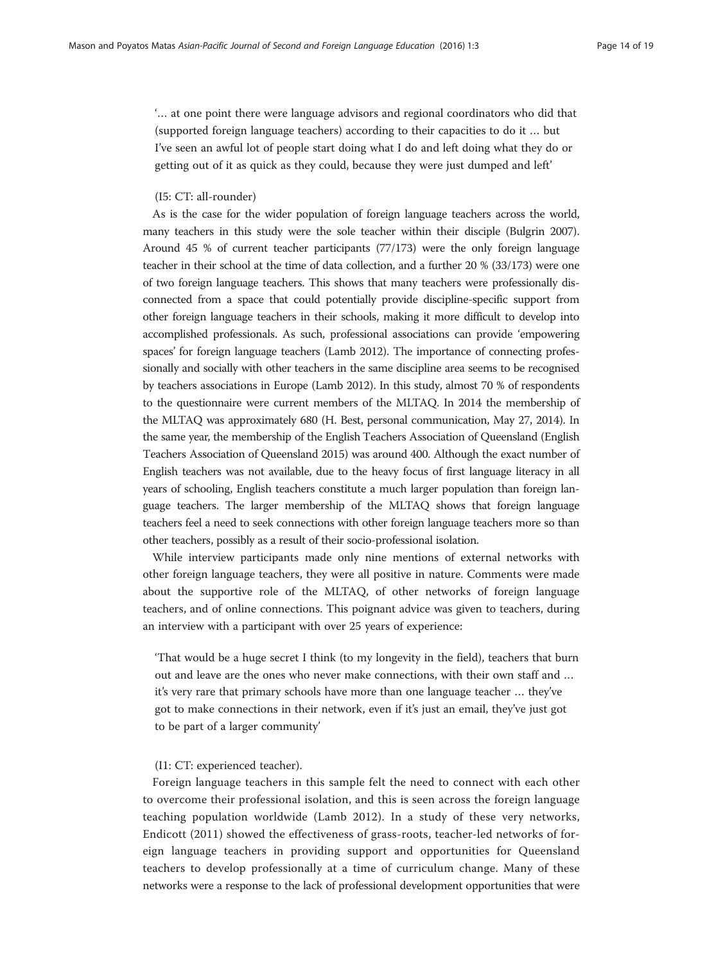'… at one point there were language advisors and regional coordinators who did that (supported foreign language teachers) according to their capacities to do it … but I've seen an awful lot of people start doing what I do and left doing what they do or getting out of it as quick as they could, because they were just dumped and left'

### (I5: CT: all-rounder)

As is the case for the wider population of foreign language teachers across the world, many teachers in this study were the sole teacher within their disciple (Bulgrin [2007](#page-17-0)). Around 45 % of current teacher participants (77/173) were the only foreign language teacher in their school at the time of data collection, and a further 20 % (33/173) were one of two foreign language teachers. This shows that many teachers were professionally disconnected from a space that could potentially provide discipline-specific support from other foreign language teachers in their schools, making it more difficult to develop into accomplished professionals. As such, professional associations can provide 'empowering spaces' for foreign language teachers (Lamb [2012\)](#page-17-0). The importance of connecting professionally and socially with other teachers in the same discipline area seems to be recognised by teachers associations in Europe (Lamb [2012\)](#page-17-0). In this study, almost 70 % of respondents to the questionnaire were current members of the MLTAQ. In 2014 the membership of the MLTAQ was approximately 680 (H. Best, personal communication, May 27, 2014). In the same year, the membership of the English Teachers Association of Queensland (English Teachers Association of Queensland [2015\)](#page-17-0) was around 400. Although the exact number of English teachers was not available, due to the heavy focus of first language literacy in all years of schooling, English teachers constitute a much larger population than foreign language teachers. The larger membership of the MLTAQ shows that foreign language teachers feel a need to seek connections with other foreign language teachers more so than other teachers, possibly as a result of their socio-professional isolation.

While interview participants made only nine mentions of external networks with other foreign language teachers, they were all positive in nature. Comments were made about the supportive role of the MLTAQ, of other networks of foreign language teachers, and of online connections. This poignant advice was given to teachers, during an interview with a participant with over 25 years of experience:

'That would be a huge secret I think (to my longevity in the field), teachers that burn out and leave are the ones who never make connections, with their own staff and … it's very rare that primary schools have more than one language teacher … they've got to make connections in their network, even if it's just an email, they've just got to be part of a larger community'

### (I1: CT: experienced teacher).

Foreign language teachers in this sample felt the need to connect with each other to overcome their professional isolation, and this is seen across the foreign language teaching population worldwide (Lamb [2012](#page-17-0)). In a study of these very networks, Endicott ([2011](#page-17-0)) showed the effectiveness of grass-roots, teacher-led networks of foreign language teachers in providing support and opportunities for Queensland teachers to develop professionally at a time of curriculum change. Many of these networks were a response to the lack of professional development opportunities that were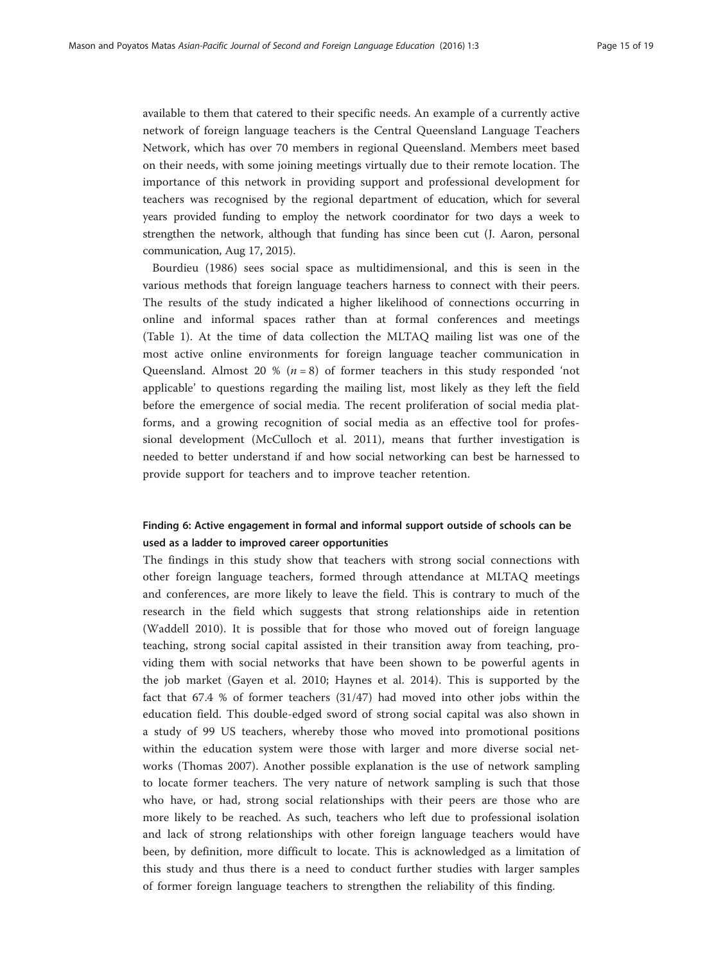available to them that catered to their specific needs. An example of a currently active network of foreign language teachers is the Central Queensland Language Teachers Network, which has over 70 members in regional Queensland. Members meet based on their needs, with some joining meetings virtually due to their remote location. The importance of this network in providing support and professional development for teachers was recognised by the regional department of education, which for several years provided funding to employ the network coordinator for two days a week to strengthen the network, although that funding has since been cut (J. Aaron, personal communication, Aug 17, 2015).

Bourdieu [\(1986](#page-17-0)) sees social space as multidimensional, and this is seen in the various methods that foreign language teachers harness to connect with their peers. The results of the study indicated a higher likelihood of connections occurring in online and informal spaces rather than at formal conferences and meetings (Table [1](#page-4-0)). At the time of data collection the MLTAQ mailing list was one of the most active online environments for foreign language teacher communication in Queensland. Almost 20 % ( $n = 8$ ) of former teachers in this study responded 'not applicable' to questions regarding the mailing list, most likely as they left the field before the emergence of social media. The recent proliferation of social media platforms, and a growing recognition of social media as an effective tool for professional development (McCulloch et al. [2011](#page-18-0)), means that further investigation is needed to better understand if and how social networking can best be harnessed to provide support for teachers and to improve teacher retention.

## Finding 6: Active engagement in formal and informal support outside of schools can be used as a ladder to improved career opportunities

The findings in this study show that teachers with strong social connections with other foreign language teachers, formed through attendance at MLTAQ meetings and conferences, are more likely to leave the field. This is contrary to much of the research in the field which suggests that strong relationships aide in retention (Waddell [2010\)](#page-18-0). It is possible that for those who moved out of foreign language teaching, strong social capital assisted in their transition away from teaching, providing them with social networks that have been shown to be powerful agents in the job market (Gayen et al. [2010;](#page-17-0) Haynes et al. [2014](#page-17-0)). This is supported by the fact that 67.4 % of former teachers (31/47) had moved into other jobs within the education field. This double-edged sword of strong social capital was also shown in a study of 99 US teachers, whereby those who moved into promotional positions within the education system were those with larger and more diverse social networks (Thomas [2007\)](#page-18-0). Another possible explanation is the use of network sampling to locate former teachers. The very nature of network sampling is such that those who have, or had, strong social relationships with their peers are those who are more likely to be reached. As such, teachers who left due to professional isolation and lack of strong relationships with other foreign language teachers would have been, by definition, more difficult to locate. This is acknowledged as a limitation of this study and thus there is a need to conduct further studies with larger samples of former foreign language teachers to strengthen the reliability of this finding.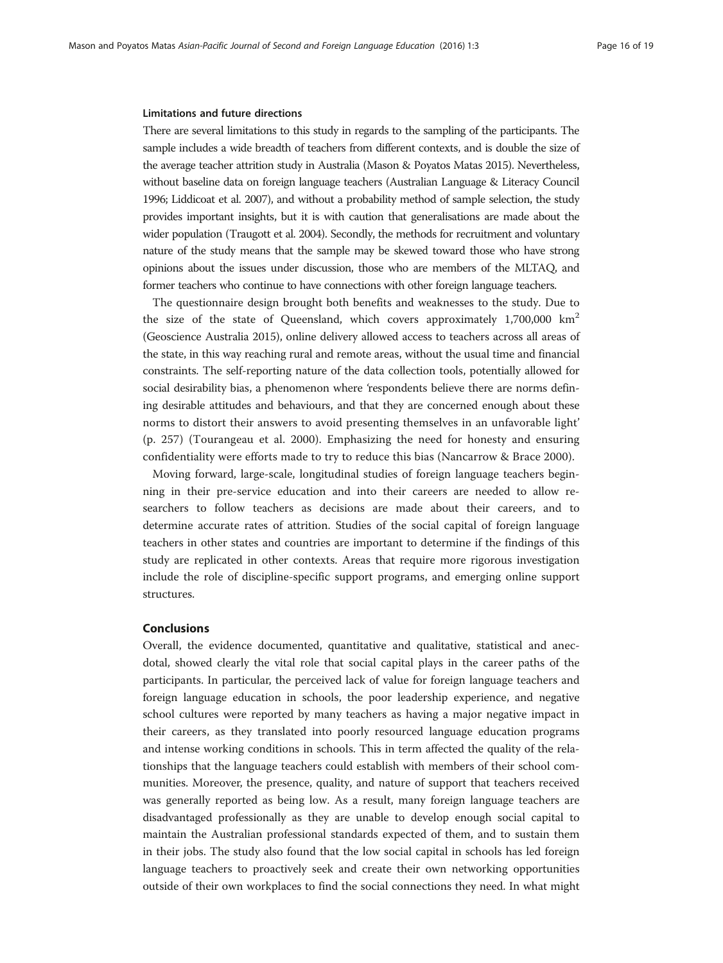### Limitations and future directions

There are several limitations to this study in regards to the sampling of the participants. The sample includes a wide breadth of teachers from different contexts, and is double the size of the average teacher attrition study in Australia (Mason & Poyatos Matas [2015\)](#page-18-0). Nevertheless, without baseline data on foreign language teachers (Australian Language & Literacy Council [1996](#page-17-0); Liddicoat et al. [2007](#page-17-0)), and without a probability method of sample selection, the study provides important insights, but it is with caution that generalisations are made about the wider population (Traugott et al. [2004\)](#page-18-0). Secondly, the methods for recruitment and voluntary nature of the study means that the sample may be skewed toward those who have strong opinions about the issues under discussion, those who are members of the MLTAQ, and former teachers who continue to have connections with other foreign language teachers.

The questionnaire design brought both benefits and weaknesses to the study. Due to the size of the state of Queensland, which covers approximately  $1,700,000$  km<sup>2</sup> (Geoscience Australia [2015](#page-17-0)), online delivery allowed access to teachers across all areas of the state, in this way reaching rural and remote areas, without the usual time and financial constraints. The self-reporting nature of the data collection tools, potentially allowed for social desirability bias, a phenomenon where 'respondents believe there are norms defining desirable attitudes and behaviours, and that they are concerned enough about these norms to distort their answers to avoid presenting themselves in an unfavorable light' (p. 257) (Tourangeau et al. [2000\)](#page-18-0). Emphasizing the need for honesty and ensuring confidentiality were efforts made to try to reduce this bias (Nancarrow & Brace [2000](#page-18-0)).

Moving forward, large-scale, longitudinal studies of foreign language teachers beginning in their pre-service education and into their careers are needed to allow researchers to follow teachers as decisions are made about their careers, and to determine accurate rates of attrition. Studies of the social capital of foreign language teachers in other states and countries are important to determine if the findings of this study are replicated in other contexts. Areas that require more rigorous investigation include the role of discipline-specific support programs, and emerging online support structures.

### Conclusions

Overall, the evidence documented, quantitative and qualitative, statistical and anecdotal, showed clearly the vital role that social capital plays in the career paths of the participants. In particular, the perceived lack of value for foreign language teachers and foreign language education in schools, the poor leadership experience, and negative school cultures were reported by many teachers as having a major negative impact in their careers, as they translated into poorly resourced language education programs and intense working conditions in schools. This in term affected the quality of the relationships that the language teachers could establish with members of their school communities. Moreover, the presence, quality, and nature of support that teachers received was generally reported as being low. As a result, many foreign language teachers are disadvantaged professionally as they are unable to develop enough social capital to maintain the Australian professional standards expected of them, and to sustain them in their jobs. The study also found that the low social capital in schools has led foreign language teachers to proactively seek and create their own networking opportunities outside of their own workplaces to find the social connections they need. In what might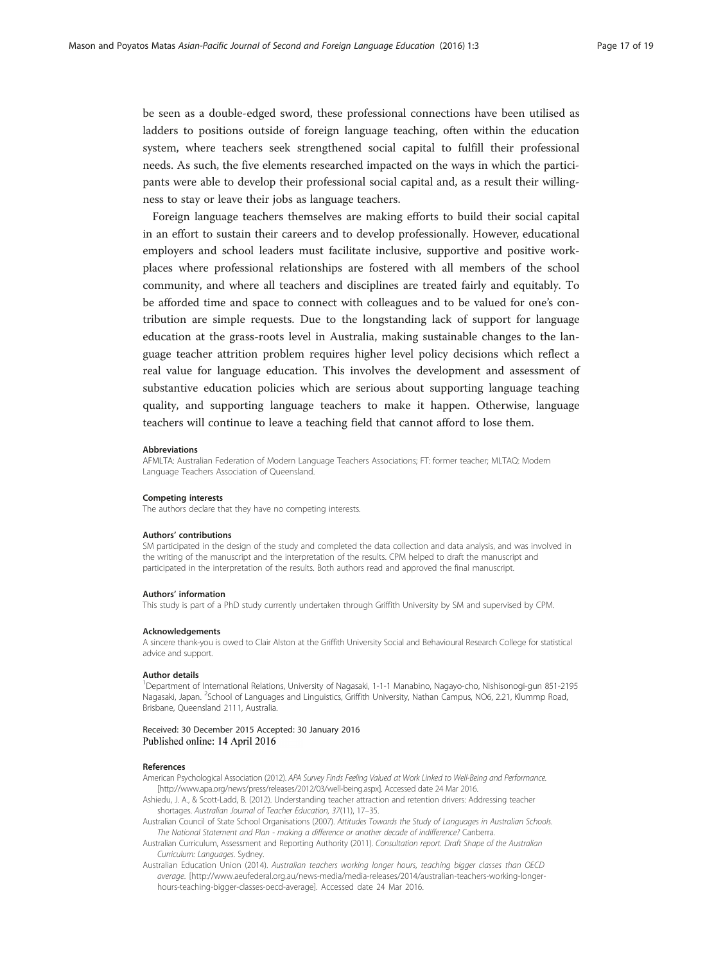<span id="page-16-0"></span>be seen as a double-edged sword, these professional connections have been utilised as ladders to positions outside of foreign language teaching, often within the education system, where teachers seek strengthened social capital to fulfill their professional needs. As such, the five elements researched impacted on the ways in which the participants were able to develop their professional social capital and, as a result their willingness to stay or leave their jobs as language teachers.

Foreign language teachers themselves are making efforts to build their social capital in an effort to sustain their careers and to develop professionally. However, educational employers and school leaders must facilitate inclusive, supportive and positive workplaces where professional relationships are fostered with all members of the school community, and where all teachers and disciplines are treated fairly and equitably. To be afforded time and space to connect with colleagues and to be valued for one's contribution are simple requests. Due to the longstanding lack of support for language education at the grass-roots level in Australia, making sustainable changes to the language teacher attrition problem requires higher level policy decisions which reflect a real value for language education. This involves the development and assessment of substantive education policies which are serious about supporting language teaching quality, and supporting language teachers to make it happen. Otherwise, language teachers will continue to leave a teaching field that cannot afford to lose them.

#### Abbreviations

AFMLTA: Australian Federation of Modern Language Teachers Associations; FT: former teacher; MLTAQ: Modern Language Teachers Association of Queensland.

#### Competing interests

The authors declare that they have no competing interests.

#### Authors' contributions

SM participated in the design of the study and completed the data collection and data analysis, and was involved in the writing of the manuscript and the interpretation of the results. CPM helped to draft the manuscript and participated in the interpretation of the results. Both authors read and approved the final manuscript.

#### Authors' information

This study is part of a PhD study currently undertaken through Griffith University by SM and supervised by CPM.

#### Acknowledgements

A sincere thank-you is owed to Clair Alston at the Griffith University Social and Behavioural Research College for statistical advice and support.

#### Author details

1 Department of International Relations, University of Nagasaki, 1-1-1 Manabino, Nagayo-cho, Nishisonogi-gun 851-2195 Nagasaki, Japan. <sup>2</sup>School of Languages and Linguistics, Griffith University, Nathan Campus, NO6, 2.21, Klummp Road, Brisbane, Queensland 2111, Australia.

#### Received: 30 December 2015 Accepted: 30 January 2016 Published online: 14 April 2016

#### References

- American Psychological Association (2012). APA Survey Finds Feeling Valued at Work Linked to Well-Being and Performance. [\[http://www.apa.org/news/press/releases/2012/03/well-being.aspx](http://www.apa.org/news/press/releases/2012/03/well-being.aspx)]. Accessed date 24 Mar 2016.
- Ashiedu, J. A., & Scott-Ladd, B. (2012). Understanding teacher attraction and retention drivers: Addressing teacher shortages. Australian Journal of Teacher Education, 37(11), 17–35.
- Australian Council of State School Organisations (2007). Attitudes Towards the Study of Languages in Australian Schools. The National Statement and Plan - making a difference or another decade of indifference? Canberra.
- Australian Curriculum, Assessment and Reporting Authority (2011). Consultation report. Draft Shape of the Australian Curriculum: Languages. Sydney.
- Australian Education Union (2014). Australian teachers working longer hours, teaching bigger classes than OECD average. [[http://www.aeufederal.org.au/news-media/media-releases/2014/australian-teachers-working-longer](http://www.aeufederal.org.au/news-media/media-releases/2014/australian-teachers-working-longer-hours-teaching-bigger-classes-oecd-average)[hours-teaching-bigger-classes-oecd-average\]](http://www.aeufederal.org.au/news-media/media-releases/2014/australian-teachers-working-longer-hours-teaching-bigger-classes-oecd-average). Accessed date 24 Mar 2016.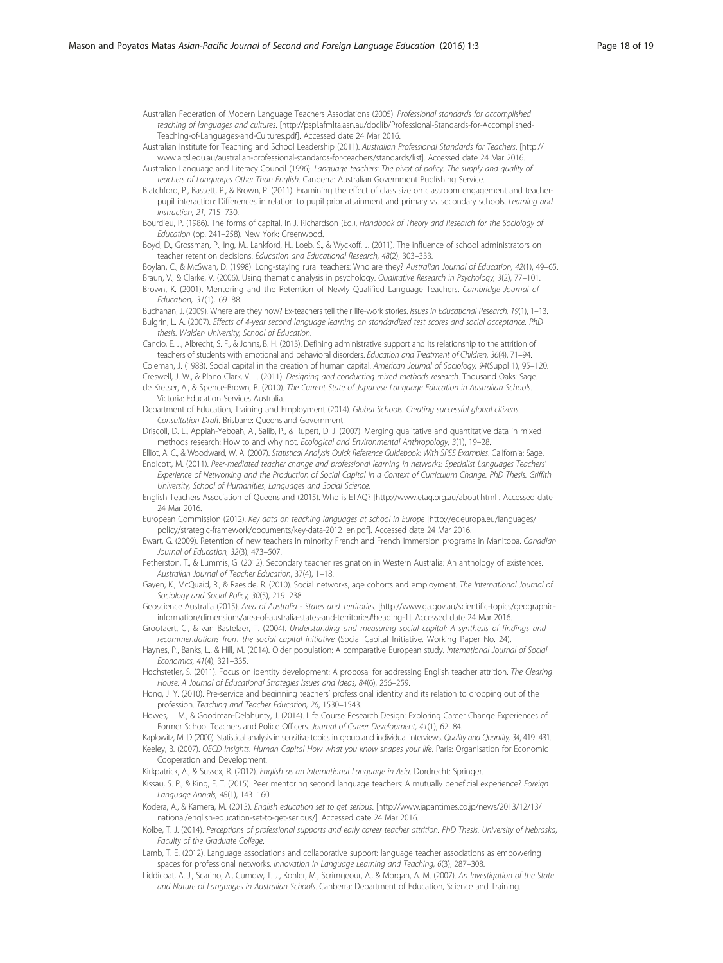<span id="page-17-0"></span>Australian Federation of Modern Language Teachers Associations (2005). Professional standards for accomplished teaching of languages and cultures. [\[http://pspl.afmlta.asn.au/doclib/Professional-Standards-for-Accomplished-](http://pspl.afmlta.asn.au/doclib/Professional-Standards-for-Accomplished-Teaching-of-Languages-and-Cultures.pdf)[Teaching-of-Languages-and-Cultures.pdf\]](http://pspl.afmlta.asn.au/doclib/Professional-Standards-for-Accomplished-Teaching-of-Languages-and-Cultures.pdf). Accessed date 24 Mar 2016.

Australian Institute for Teaching and School Leadership (2011). Australian Professional Standards for Teachers. [\[http://](http://www.aitsl.edu.au/australian-professional-standards-for-teachers/standards/list) [www.aitsl.edu.au/australian-professional-standards-for-teachers/standards/list\]](http://www.aitsl.edu.au/australian-professional-standards-for-teachers/standards/list). Accessed date 24 Mar 2016.

Australian Language and Literacy Council (1996). Language teachers: The pivot of policy. The supply and quality of teachers of Languages Other Than English. Canberra: Australian Government Publishing Service.

- Blatchford, P., Bassett, P., & Brown, P. (2011). Examining the effect of class size on classroom engagement and teacherpupil interaction: Differences in relation to pupil prior attainment and primary vs. secondary schools. Learning and Instruction, 21, 715–730.
- Bourdieu, P. (1986). The forms of capital. In J. Richardson (Ed.), Handbook of Theory and Research for the Sociology of Education (pp. 241–258). New York: Greenwood.

Boyd, D., Grossman, P., Ing, M., Lankford, H., Loeb, S., & Wyckoff, J. (2011). The influence of school administrators on teacher retention decisions. Education and Educational Research, 48(2), 303-333.

Boylan, C., & McSwan, D. (1998). Long-staying rural teachers: Who are they? Australian Journal of Education, 42(1), 49–65.

Braun, V., & Clarke, V. (2006). Using thematic analysis in psychology. Qualitative Research in Psychology, 3(2), 77–101. Brown, K. (2001). Mentoring and the Retention of Newly Qualified Language Teachers. Cambridge Journal of Education, 31(1), 69–88.

Buchanan, J. (2009). Where are they now? Ex-teachers tell their life-work stories. Issues in Educational Research, 19(1), 1–13. Bulgrin, L. A. (2007). Effects of 4-year second language learning on standardized test scores and social acceptance. PhD thesis. Walden University, School of Education.

Cancio, E. J., Albrecht, S. F., & Johns, B. H. (2013). Defining administrative support and its relationship to the attrition of teachers of students with emotional and behavioral disorders. Education and Treatment of Children, 36(4), 71–94. Coleman, J. (1988). Social capital in the creation of human capital. American Journal of Sociology, 94(Suppl 1), 95–120.

Creswell, J. W., & Plano Clark, V. L. (2011). Designing and conducting mixed methods research. Thousand Oaks: Sage.

de Kretser, A., & Spence-Brown, R. (2010). The Current State of Japanese Language Education in Australian Schools. Victoria: Education Services Australia.

Department of Education, Training and Employment (2014). Global Schools. Creating successful global citizens. Consultation Draft. Brisbane: Queensland Government.

Driscoll, D. L., Appiah-Yeboah, A., Salib, P., & Rupert, D. J. (2007). Merging qualitative and quantitative data in mixed methods research: How to and why not. Ecological and Environmental Anthropology, 3(1), 19–28.

Elliot, A. C., & Woodward, W. A. (2007). Statistical Analysis Quick Reference Guidebook: With SPSS Examples. California: Sage. Endicott, M. (2011). Peer-mediated teacher change and professional learning in networks: Specialist Languages Teachers'

Experience of Networking and the Production of Social Capital in a Context of Curriculum Change. PhD Thesis. Griffith University, School of Humanities, Languages and Social Science.

English Teachers Association of Queensland (2015). Who is ETAQ? [<http://www.etaq.org.au/about.html>]. Accessed date 24 Mar 2016.

European Commission (2012). Key data on teaching languages at school in Europe [[http://ec.europa.eu/languages/](http://ec.europa.eu/languages/policy/strategic-framework/documents/key-data-2012_en.pdf) [policy/strategic-framework/documents/key-data-2012\\_en.pdf\]](http://ec.europa.eu/languages/policy/strategic-framework/documents/key-data-2012_en.pdf). Accessed date 24 Mar 2016.

Ewart, G. (2009). Retention of new teachers in minority French and French immersion programs in Manitoba. Canadian Journal of Education, 32(3), 473–507.

Fetherston, T., & Lummis, G. (2012). Secondary teacher resignation in Western Australia: An anthology of existences. Australian Journal of Teacher Education, 37(4), 1–18.

Gayen, K., McQuaid, R., & Raeside, R. (2010). Social networks, age cohorts and employment. The International Journal of Sociology and Social Policy, 30(5), 219–238.

Geoscience Australia (2015). Area of Australia - States and Territories. [[http://www.ga.gov.au/scientific-topics/geographic](http://www.ga.gov.au/scientific-topics/geographic-information/dimensions/area-of-australia-states-and-territories#heading-1)[information/dimensions/area-of-australia-states-and-territories#heading-1\]](http://www.ga.gov.au/scientific-topics/geographic-information/dimensions/area-of-australia-states-and-territories#heading-1). Accessed date 24 Mar 2016.

Grootaert, C., & van Bastelaer, T. (2004). Understanding and measuring social capital: A synthesis of findings and recommendations from the social capital initiative (Social Capital Initiative. Working Paper No. 24).

Haynes, P., Banks, L., & Hill, M. (2014). Older population: A comparative European study. International Journal of Social Economics, 41(4), 321–335.

Hochstetler, S. (2011). Focus on identity development: A proposal for addressing English teacher attrition. The Clearing House: A Journal of Educational Strategies Issues and Ideas, 84(6), 256–259.

Hong, J. Y. (2010). Pre-service and beginning teachers' professional identity and its relation to dropping out of the profession. Teaching and Teacher Education, 26, 1530–1543.

Howes, L. M., & Goodman-Delahunty, J. (2014). Life Course Research Design: Exploring Career Change Experiences of Former School Teachers and Police Officers. Journal of Career Development, 41(1), 62–84.

Kaplowitz, M. D (2000). Statistical analysis in sensitive topics in group and individual interviews. Quality and Quantity, 34, 419–431. Keeley, B. (2007). OECD Insights. Human Capital How what you know shapes your life. Paris: Organisation for Economic Cooperation and Development.

Kirkpatrick, A., & Sussex, R. (2012). English as an International Language in Asia. Dordrecht: Springer.

Kissau, S. P., & King, E. T. (2015). Peer mentoring second language teachers: A mutually beneficial experience? Foreign Language Annals, 48(1), 143–160.

Kodera, A., & Kamera, M. (2013). English education set to get serious. [[http://www.japantimes.co.jp/news/2013/12/13/](http://www.japantimes.co.jp/news/2013/12/13/national/english-education-set-to-get-serious/) [national/english-education-set-to-get-serious/\]](http://www.japantimes.co.jp/news/2013/12/13/national/english-education-set-to-get-serious/). Accessed date 24 Mar 2016.

Kolbe, T. J. (2014). Perceptions of professional supports and early career teacher attrition. PhD Thesis. University of Nebraska, Faculty of the Graduate College.

Lamb, T. E. (2012). Language associations and collaborative support: language teacher associations as empowering spaces for professional networks. Innovation in Language Learning and Teaching, 6(3), 287–308.

Liddicoat, A. J., Scarino, A., Curnow, T. J., Kohler, M., Scrimgeour, A., & Morgan, A. M. (2007). An Investigation of the State and Nature of Languages in Australian Schools. Canberra: Department of Education, Science and Training.